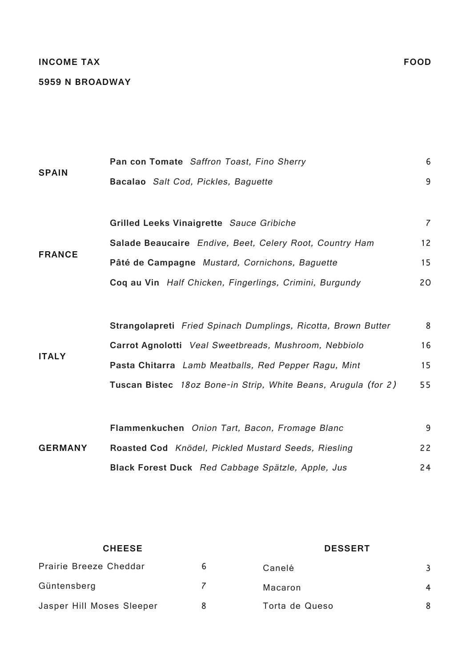### **INCOME TAX**

#### **5959 N BROADWAY**

|                | Pan con Tomate Saffron Toast, Fino Sherry                      | 6              |
|----------------|----------------------------------------------------------------|----------------|
| <b>SPAIN</b>   | Bacalao Salt Cod, Pickles, Baguette                            | 9              |
|                | Grilled Leeks Vinaigrette Sauce Gribiche                       | $\overline{7}$ |
|                | Salade Beaucaire Endive, Beet, Celery Root, Country Ham        | 12             |
| <b>FRANCE</b>  | Pâté de Campagne Mustard, Cornichons, Baguette                 | 15             |
|                | Coq au Vin Half Chicken, Fingerlings, Crimini, Burgundy        | 20             |
|                |                                                                |                |
|                | Strangolapreti Fried Spinach Dumplings, Ricotta, Brown Butter  | 8              |
|                | Carrot Agnolotti Veal Sweetbreads, Mushroom, Nebbiolo          | 16             |
| <b>ITALY</b>   | Pasta Chitarra Lamb Meatballs, Red Pepper Ragu, Mint           | 15             |
|                | Tuscan Bistec 18oz Bone-in Strip, White Beans, Arugula (for 2) | 55             |
|                |                                                                |                |
| <b>GERMANY</b> | Flammenkuchen Onion Tart, Bacon, Fromage Blanc                 | 9              |
|                | Roasted Cod Knödel, Pickled Mustard Seeds, Riesling            | 22             |
|                | Black Forest Duck Red Cabbage Spätzle, Apple, Jus              | 24             |
|                |                                                                |                |

| <b>CHEESE</b>                 |   | <b>DESSERT</b> |   |
|-------------------------------|---|----------------|---|
| <b>Prairie Breeze Cheddar</b> | 6 | Canelé         |   |
| Güntensberg                   |   | Macaron        | 4 |
| Jasper Hill Moses Sleeper     |   | Torta de Queso | 8 |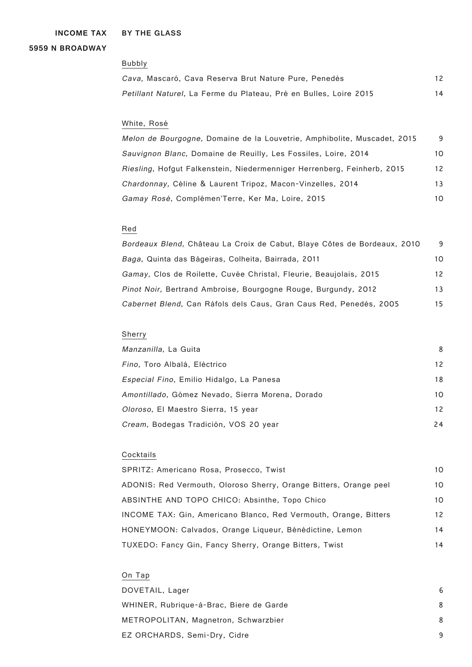**BY THE GLASS INCOME TAX**

### **5959 N BROADWAY**

#### Bubbly

| Cava, Mascaró, Cava Reserva Brut Nature Pure, Penedès                     | 12 |
|---------------------------------------------------------------------------|----|
| <i>Petillant Naturel</i> , La Ferme du Plateau, Pré en Bulles, Loire 2015 | 14 |

## White, Rosé

Melon de Bourgogne, Domaine de la Louvetrie, Amphibolite, Muscadet, 2015 9 Sauvignon Blanc, Domaine de Reuilly, Les Fossiles, Loire, 2014 10 Riesling, Hofgut Falkenstein, Niedermenniger Herrenberg, Feinherb, 2015 12 Chardonnay, Céline & Laurent Tripoz, Macon-Vinzelles, 2014 13 Gamay Rosé, Complémen'Terre, Ker Ma, Loire, 2015 10

### Red

| Bordeaux Blend, Château La Croix de Cabut, Blaye Côtes de Bordeaux, 2010 | 9  |
|--------------------------------------------------------------------------|----|
| Baga, Quinta das Bágeiras, Colheita, Bairrada, 2011                      | 10 |
| Gamay, Clos de Roilette, Cuvée Christal, Fleurie, Beaujolais, 2015       | 12 |
| <i>Pinot Noir</i> , Bertrand Ambroise, Bourgogne Rouge, Burgundy, 2012   | 13 |
| Cabernet Blend, Can Ràfols dels Caus, Gran Caus Red, Penedès, 2005       | 15 |

# Sherry

| <i>Manzanilla</i> , La Guita                     | 8  |
|--------------------------------------------------|----|
| Fino, Toro Albalá, Eléctrico                     | 12 |
| Especial Fino, Emilio Hidalgo, La Panesa         | 18 |
| Amontillado, Gómez Nevado, Sierra Morena, Dorado | 10 |
| Oloroso, El Maestro Sierra, 15 year              | 12 |
| Cream, Bodegas Tradición, VOS 20 year            | 24 |

# Cocktails

| SPRITZ: Americano Rosa, Prosecco, Twist                           | 10             |
|-------------------------------------------------------------------|----------------|
| ADONIS: Red Vermouth, Oloroso Sherry, Orange Bitters, Orange peel | 10             |
| ABSINTHE AND TOPO CHICO: Absinthe, Topo Chico                     | 1 <sub>O</sub> |
| INCOME TAX: Gin, Americano Blanco, Red Vermouth, Orange, Bitters  | 12             |
| HONEYMOON: Calvados, Orange Ligueur, Bénédictine, Lemon           | 14             |
| TUXEDO: Fancy Gin, Fancy Sherry, Orange Bitters, Twist            | 14             |

## On Tap

| DOVETAIL, Lager                         | 6 |
|-----------------------------------------|---|
| WHINER, Rubrique-à-Brac, Biere de Garde | 8 |
| METROPOLITAN, Magnetron, Schwarzbier    | 8 |
| EZ ORCHARDS, Semi-Dry, Cidre            | 9 |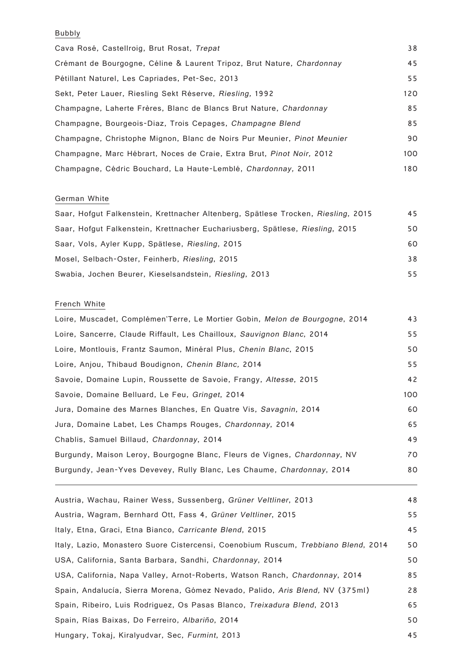# Bubbly

| Cava Rosé, Castellroig, Brut Rosat, Trepat                              | 38  |
|-------------------------------------------------------------------------|-----|
| Crémant de Bourgogne, Céline & Laurent Tripoz, Brut Nature, Chardonnay  | 45  |
| Pétillant Naturel, Les Capriades, Pet-Sec, 2013                         | 55  |
| Sekt, Peter Lauer, Riesling Sekt Réserve, Riesling, 1992                | 120 |
| Champagne, Laherte Frères, Blanc de Blancs Brut Nature, Chardonnay      | 85  |
| Champagne, Bourgeois-Diaz, Trois Cepages, Champagne Blend               | 85  |
| Champagne, Christophe Mignon, Blanc de Noirs Pur Meunier, Pinot Meunier | 90  |
| Champagne, Marc Hébrart, Noces de Craie, Extra Brut, Pinot Noir, 2012   | 100 |
| Champagne, Cédric Bouchard, La Haute-Lemblé, Chardonnay, 2011           | 180 |

## German White

| Saar, Hofgut Falkenstein, Krettnacher Altenberg, Spätlese Trocken, Riesling, 2015 | 45 |
|-----------------------------------------------------------------------------------|----|
| Saar, Hofgut Falkenstein, Krettnacher Euchariusberg, Spätlese, Riesling, 2015     | 50 |
| Saar, Vols, Ayler Kupp, Spätlese, Riesling, 2015                                  | 60 |
| Mosel, Selbach-Oster, Feinherb, Riesling, 2015                                    | 38 |
| Swabia, Jochen Beurer, Kieselsandstein, Riesling, 2013                            | 55 |

# French White

| Loire, Muscadet, Complémen'Terre, Le Mortier Gobin, Melon de Bourgogne, 2014 | 43  |
|------------------------------------------------------------------------------|-----|
| Loire, Sancerre, Claude Riffault, Les Chailloux, Sauvignon Blanc, 2014       | 55  |
| Loire, Montlouis, Frantz Saumon, Minéral Plus, Chenin Blanc, 2015            | 50  |
| Loire, Anjou, Thibaud Boudignon, Chenin Blanc, 2014                          | 55  |
| Savoie, Domaine Lupin, Roussette de Savoie, Frangy, Altesse, 2015            | 42  |
| Savoie, Domaine Belluard, Le Feu, Gringet, 2014                              | 100 |
| Jura, Domaine des Marnes Blanches, En Quatre Vis, Savagnin, 2014             | 60  |
| Jura, Domaine Labet, Les Champs Rouges, Chardonnay, 2014                     | 65  |
| Chablis, Samuel Billaud, Chardonnay, 2014                                    | 49  |
| Burgundy, Maison Leroy, Bourgogne Blanc, Fleurs de Vignes, Chardonnay, NV    | 70  |
| Burgundy, Jean-Yves Devevey, Rully Blanc, Les Chaume, Chardonnay, 2014       | 80  |
|                                                                              |     |

| Austria, Wachau, Rainer Wess, Sussenberg, Grüner Veltliner, 2013                   | 48 |
|------------------------------------------------------------------------------------|----|
| Austria, Wagram, Bernhard Ott, Fass 4, Grüner Veltliner, 2015                      | 55 |
| Italy, Etna, Graci, Etna Bianco, Carricante Blend, 2015                            | 45 |
| Italy, Lazio, Monastero Suore Cistercensi, Coenobium Ruscum, Trebbiano Blend, 2014 | 50 |
| USA, California, Santa Barbara, Sandhi, Chardonnay, 2014                           | 50 |
| USA, California, Napa Valley, Arnot-Roberts, Watson Ranch, Chardonnay, 2014        | 85 |
| Spain, Andalucía, Sierra Morena, Gómez Nevado, Palido, Aris Blend, NV (375ml)      | 28 |
| Spain, Ribeiro, Luis Rodriguez, Os Pasas Blanco, Treixadura Blend, 2013            | 65 |
| Spain, Rías Baixas, Do Ferreiro, Albariño, 2014                                    | 50 |
| Hungary, Tokaj, Kiralyudvar, Sec, Furmint, 2013                                    | 45 |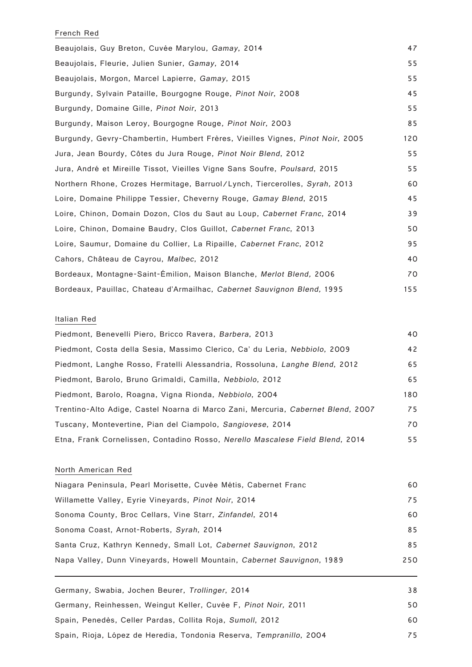### French Red

| Beaujolais, Guy Breton, Cuvée Marylou, Gamay, 2014                            | 47  |
|-------------------------------------------------------------------------------|-----|
| Beaujolais, Fleurie, Julien Sunier, Gamay, 2014                               | 55  |
| Beaujolais, Morgon, Marcel Lapierre, Gamay, 2015                              | 55  |
| Burgundy, Sylvain Pataille, Bourgogne Rouge, Pinot Noir, 2008                 | 45  |
| Burgundy, Domaine Gille, Pinot Noir, 2013                                     | 55  |
| Burgundy, Maison Leroy, Bourgogne Rouge, Pinot Noir, 2003                     | 85  |
| Burgundy, Gevry-Chambertin, Humbert Frères, Vieilles Vignes, Pinot Noir, 2005 | 120 |
| Jura, Jean Bourdy, Côtes du Jura Rouge, Pinot Noir Blend, 2012                | 55  |
| Jura, André et Mireille Tissot, Vieilles Vigne Sans Soufre, Poulsard, 2015    | 55  |
| Northern Rhone, Crozes Hermitage, Barruol/Lynch, Tiercerolles, Syrah, 2013    | 60  |
| Loire, Domaine Philippe Tessier, Cheverny Rouge, Gamay Blend, 2015            | 45  |
| Loire, Chinon, Domain Dozon, Clos du Saut au Loup, Cabernet Franc, 2014       | 39  |
| Loire, Chinon, Domaine Baudry, Clos Guillot, Cabernet Franc, 2013             | 50  |
| Loire, Saumur, Domaine du Collier, La Ripaille, Cabernet Franc, 2012          | 95  |
| Cahors, Château de Cayrou, Malbec, 2012                                       | 40  |
| Bordeaux, Montagne-Saint-Émilion, Maison Blanche, Merlot Blend, 2006          | 70  |
| Bordeaux, Pauillac, Chateau d'Armailhac, Cabernet Sauvignon Blend, 1995       | 155 |

## Italian Red

| Piedmont, Benevelli Piero, Bricco Ravera, Barbera, 2013                          | 40  |
|----------------------------------------------------------------------------------|-----|
| Piedmont, Costa della Sesia, Massimo Clerico, Ca' du Leria, Nebbiolo, 2009       | 42  |
| Piedmont, Langhe Rosso, Fratelli Alessandria, Rossoluna, Langhe Blend, 2012      | 65  |
| Piedmont, Barolo, Bruno Grimaldi, Camilla, Nebbiolo, 2012                        | 65  |
| Piedmont, Barolo, Roagna, Vigna Rionda, Nebbiolo, 2004                           | 180 |
| Trentino-Alto Adige, Castel Noarna di Marco Zani, Mercuria, Cabernet Blend, 2007 | 75  |
| Tuscany, Montevertine, Pian del Ciampolo, Sangiovese, 2014                       | 70  |
| Etna, Frank Cornelissen, Contadino Rosso, Nerello Mascalese Field Blend, 2014    | 55  |

## North American Red

| Niagara Peninsula, Pearl Morisette, Cuvée Métis, Cabernet Franc        | 60  |
|------------------------------------------------------------------------|-----|
| Willamette Valley, Eyrie Vineyards, Pinot Noir, 2014                   | 75  |
| Sonoma County, Broc Cellars, Vine Starr, Zinfandel, 2014               | 60  |
| Sonoma Coast, Arnot-Roberts, Syrah, 2014                               | 85  |
| Santa Cruz, Kathryn Kennedy, Small Lot, Cabernet Sauvignon, 2012       | 85  |
| Napa Valley, Dunn Vineyards, Howell Mountain, Cabernet Sauvignon, 1989 | 250 |

Germany, Swabia, Jochen Beurer, Trollinger, 2014 38 Germany, Reinhessen, Weingut Keller, Cuvée F, Pinot Noir, 2011 **1898** 1999 1999 Spain, Penedès, Celler Pardas, Collita Roja, Sumoll, 2012 **60** Spain, Rioja, López de Heredia, Tondonia Reserva, Tempranillo, 2004 75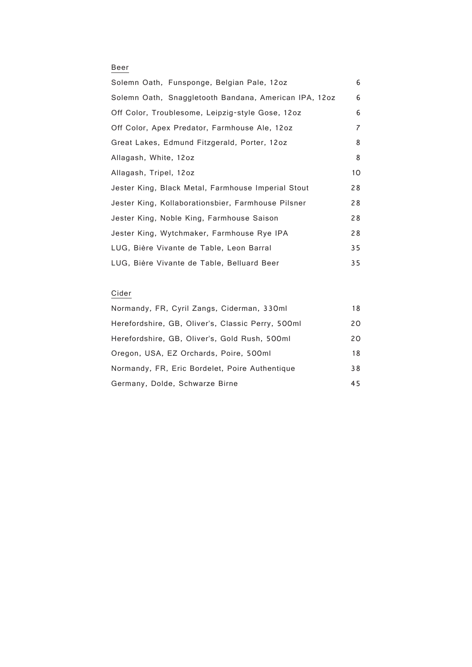# Beer

| Solemn Oath, Funsponge, Belgian Pale, 12oz            | 6  |
|-------------------------------------------------------|----|
| Solemn Oath, Snaggletooth Bandana, American IPA, 12oz | 6  |
| Off Color, Troublesome, Leipzig-style Gose, 12oz      | 6  |
| Off Color, Apex Predator, Farmhouse Ale, 12oz         | 7  |
| Great Lakes, Edmund Fitzgerald, Porter, 12oz          | 8  |
| Allagash, White, 12oz                                 | 8  |
| Allagash, Tripel, 12oz                                | 10 |
| Jester King, Black Metal, Farmhouse Imperial Stout    | 28 |
| Jester King, Kollaborationsbier, Farmhouse Pilsner    | 28 |
| Jester King, Noble King, Farmhouse Saison             | 28 |
| Jester King, Wytchmaker, Farmhouse Rye IPA            | 28 |
| LUG, Bière Vivante de Table, Leon Barral              | 35 |
| LUG, Bière Vivante de Table, Belluard Beer            | 35 |

# Cider

| Normandy, FR, Cyril Zangs, Ciderman, 330ml        | 18 |
|---------------------------------------------------|----|
| Herefordshire, GB, Oliver's, Classic Perry, 500ml | 20 |
| Herefordshire, GB, Oliver's, Gold Rush, 500ml     | 20 |
| Oregon, USA, EZ Orchards, Poire, 500ml            | 18 |
| Normandy, FR, Eric Bordelet, Poire Authentique    | 38 |
| Germany, Dolde, Schwarze Birne                    | 45 |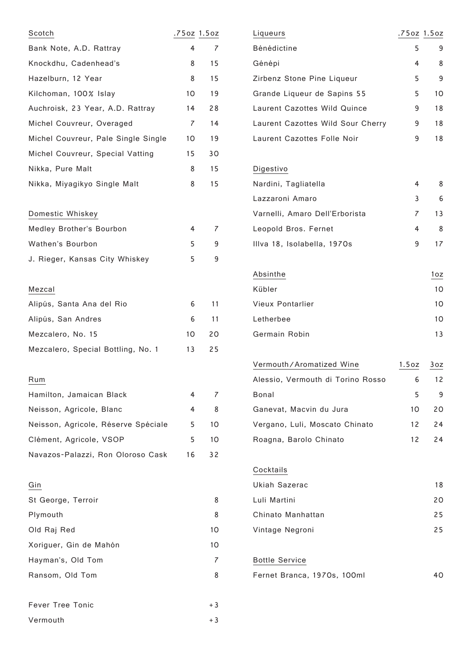| Scotch                              | .75oz 1.5oz    |                |
|-------------------------------------|----------------|----------------|
| Bank Note, A.D. Rattray             | 4              | $\overline{7}$ |
| Knockdhu, Cadenhead's               | 8              | 15             |
| Hazelburn, 12 Year                  | 8              | 15             |
| Kilchoman, 100% Islay               | 10             | 19             |
| Auchroisk, 23 Year, A.D. Rattray    | 14             | 28             |
| Michel Couvreur, Overaged           | $\overline{7}$ | 14             |
| Michel Couvreur, Pale Single Single | 10             | 19             |
| Michel Couvreur, Special Vatting    | 15             | 30             |
| Nikka, Pure Malt                    | 8              | 15             |
| Nikka, Miyagikyo Single Malt        | 8              | 15             |
| Domestic Whiskey                    |                |                |
| Medley Brother's Bourbon            | 4              | $\overline{7}$ |
| Wathen's Bourbon                    | 5              | 9              |
| J. Rieger, Kansas City Whiskey      | 5              | 9              |
| Mezcal                              |                |                |
| Alipús, Santa Ana del Rio           | 6              | 11             |
| Alipús, San Andres                  | 6              | 11             |
| Mezcalero, No. 15                   | 10             | 20             |
| Mezcalero, Special Bottling, No. 1  | 13             | 25             |
| Rum                                 |                |                |
| Hamilton, Jamaican Black            | 4              | 7              |
| Neisson, Agricole, Blanc            | 4              | 8              |
| Neisson, Agricole, Réserve Spéciale | 5              | 10             |
| Clément, Agricole, VSOP             | 5              | 10             |
| Navazos-Palazzi, Ron Oloroso Cask   | 16             | 32             |
| Gin                                 |                |                |
| St George, Terroir                  |                | 8              |
| Plymouth                            |                | 8              |
| Old Raj Red                         |                | 10             |
| Xoriguer, Gin de Mahón              |                | 10             |
| Hayman's, Old Tom                   |                | 7              |
| Ransom, Old Tom                     |                | 8              |
| <b>Fever Tree Tonic</b>             |                | + 3            |
| Vermouth                            |                | + 3            |

| Liqueurs                          | .75oz 1.5oz     |     |
|-----------------------------------|-----------------|-----|
| Bénédictine                       | 5.              | 9   |
| Génépi                            | 4               | 8   |
| Zirbenz Stone Pine Liqueur        | 5               | 9   |
| Grande Liqueur de Sapins 55       | 5               | 10  |
| Laurent Cazottes Wild Quince      | 9               | 18  |
| Laurent Cazottes Wild Sour Cherry | 9               | 18  |
| Laurent Cazottes Folle Noir       | 9               | 18  |
| Digestivo                         |                 |     |
| Nardini, Tagliatella              | 4               | 8   |
| Lazzaroni Amaro                   | 3               | 6   |
| Varnelli, Amaro Dell'Erborista    | $\overline{7}$  | 13  |
| Leopold Bros. Fernet              | 4               | 8   |
| Illva 18, Isolabella, 1970s       | 9               | 17  |
|                                   |                 |     |
| Absinthe                          |                 | 1oz |
| Kübler                            |                 | 10  |
| <b>Vieux Pontarlier</b>           |                 | 10  |
| Letherbee                         |                 | 10  |
| Germain Robin                     |                 | 13  |
| Vermouth/Aromatized Wine          | 1.5oz           | 3oz |
| Alessio, Vermouth di Torino Rosso | 6               | 12  |
| Bonal                             | 5               | 9   |
| Ganevat, Macvin du Jura           | 10              | 20  |
| Vergano, Luli, Moscato Chinato    | 12 <sup>2</sup> | 24  |
| Roagna, Barolo Chinato            | 12              | 24  |
|                                   |                 |     |
| Cocktails                         |                 |     |
| <b>Ukiah Sazerac</b>              |                 | 18  |
| Luli Martini                      |                 | 20  |
| Chinato Manhattan                 |                 | 25  |
| Vintage Negroni                   |                 | 25  |
| <b>Bottle Service</b>             |                 |     |
| Fernet Branca, 1970s, 100ml       |                 | 40  |